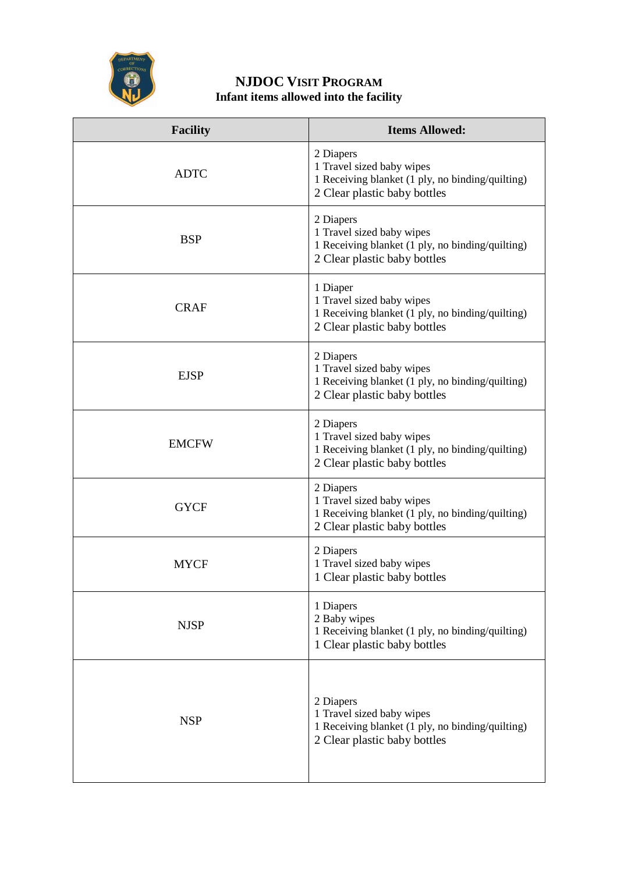

## **NJDOC VISIT PROGRAM Infant items allowed into the facility**

| <b>Facility</b> | <b>Items Allowed:</b>                                                                                                      |
|-----------------|----------------------------------------------------------------------------------------------------------------------------|
| <b>ADTC</b>     | 2 Diapers<br>1 Travel sized baby wipes<br>1 Receiving blanket (1 ply, no binding/quilting)<br>2 Clear plastic baby bottles |
| <b>BSP</b>      | 2 Diapers<br>1 Travel sized baby wipes<br>1 Receiving blanket (1 ply, no binding/quilting)<br>2 Clear plastic baby bottles |
| <b>CRAF</b>     | 1 Diaper<br>1 Travel sized baby wipes<br>1 Receiving blanket (1 ply, no binding/quilting)<br>2 Clear plastic baby bottles  |
| <b>EJSP</b>     | 2 Diapers<br>1 Travel sized baby wipes<br>1 Receiving blanket (1 ply, no binding/quilting)<br>2 Clear plastic baby bottles |
| <b>EMCFW</b>    | 2 Diapers<br>1 Travel sized baby wipes<br>1 Receiving blanket (1 ply, no binding/quilting)<br>2 Clear plastic baby bottles |
| <b>GYCF</b>     | 2 Diapers<br>1 Travel sized baby wipes<br>1 Receiving blanket (1 ply, no binding/quilting)<br>2 Clear plastic baby bottles |
| <b>MYCF</b>     | 2 Diapers<br>1 Travel sized baby wipes<br>1 Clear plastic baby bottles                                                     |
| <b>NJSP</b>     | 1 Diapers<br>2 Baby wipes<br>1 Receiving blanket (1 ply, no binding/quilting)<br>1 Clear plastic baby bottles              |
| <b>NSP</b>      | 2 Diapers<br>1 Travel sized baby wipes<br>1 Receiving blanket (1 ply, no binding/quilting)<br>2 Clear plastic baby bottles |